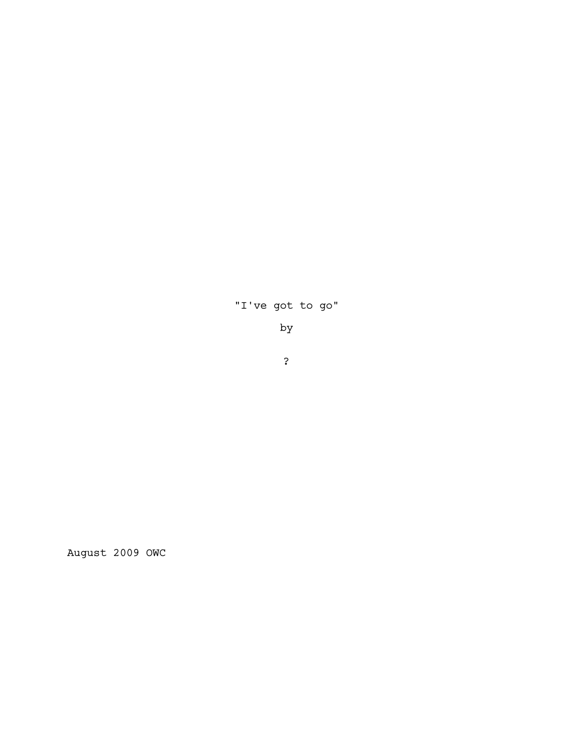# "I've got to go"

by

?

August 2009 OWC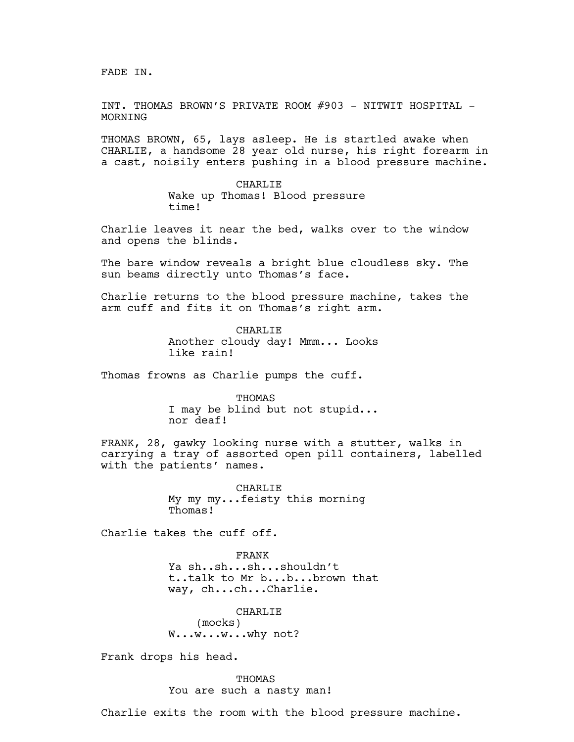FADE IN.

INT. THOMAS BROWN'S PRIVATE ROOM #903 - NITWIT HOSPITAL - MORNING

THOMAS BROWN, 65, lays asleep. He is startled awake when CHARLIE, a handsome 28 year old nurse, his right forearm in a cast, noisily enters pushing in a blood pressure machine.

> CHARLIE Wake up Thomas! Blood pressure time!

Charlie leaves it near the bed, walks over to the window and opens the blinds.

The bare window reveals a bright blue cloudless sky. The sun beams directly unto Thomas's face.

Charlie returns to the blood pressure machine, takes the arm cuff and fits it on Thomas's right arm.

> CHARLIE Another cloudy day! Mmm... Looks like rain!

Thomas frowns as Charlie pumps the cuff.

THOMAS I may be blind but not stupid... nor deaf!

FRANK, 28, gawky looking nurse with a stutter, walks in carrying a tray of assorted open pill containers, labelled with the patients' names.

> CHARLIE My my my...feisty this morning Thomas!

Charlie takes the cuff off.

FRANK Ya sh..sh...sh...shouldn't t..talk to Mr b...b...brown that way, ch...ch...Charlie.

CHARLIE (mocks) W...w...w...why not?

Frank drops his head.

THOMAS You are such a nasty man!

Charlie exits the room with the blood pressure machine.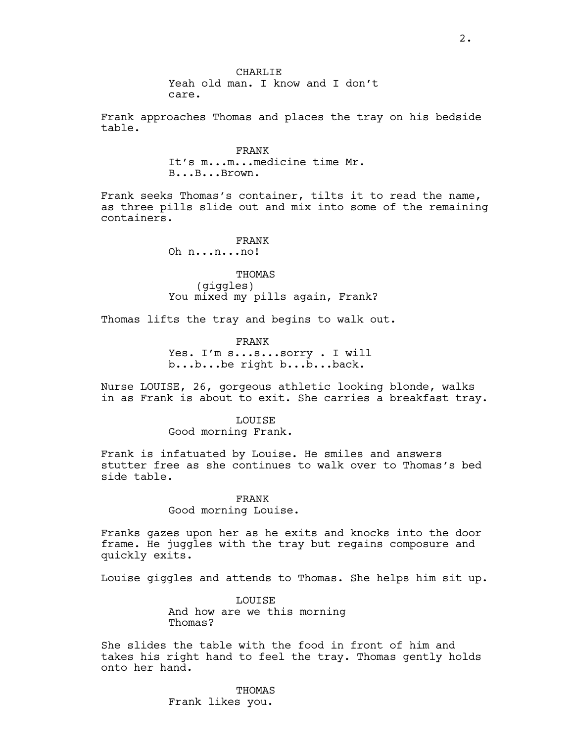CHARLIE Yeah old man. I know and I don't care.

Frank approaches Thomas and places the tray on his bedside table.

> FRANK It's m...m...medicine time Mr. B...B...Brown.

Frank seeks Thomas's container, tilts it to read the name, as three pills slide out and mix into some of the remaining containers.

## FRANK

Oh n...n...no!

THOMAS (giggles) You mixed my pills again, Frank?

Thomas lifts the tray and begins to walk out.

FRANK Yes. I'm s...s...sorry . I will b...b...be right b...b...back.

Nurse LOUISE, 26, gorgeous athletic looking blonde, walks in as Frank is about to exit. She carries a breakfast tray.

> LOUISE Good morning Frank.

Frank is infatuated by Louise. He smiles and answers stutter free as she continues to walk over to Thomas's bed side table.

# FRANK

Good morning Louise.

Franks gazes upon her as he exits and knocks into the door frame. He juggles with the tray but regains composure and quickly exits.

Louise giggles and attends to Thomas. She helps him sit up.

LOUISE And how are we this morning Thomas?

She slides the table with the food in front of him and takes his right hand to feel the tray. Thomas gently holds onto her hand.

> THOMAS Frank likes you.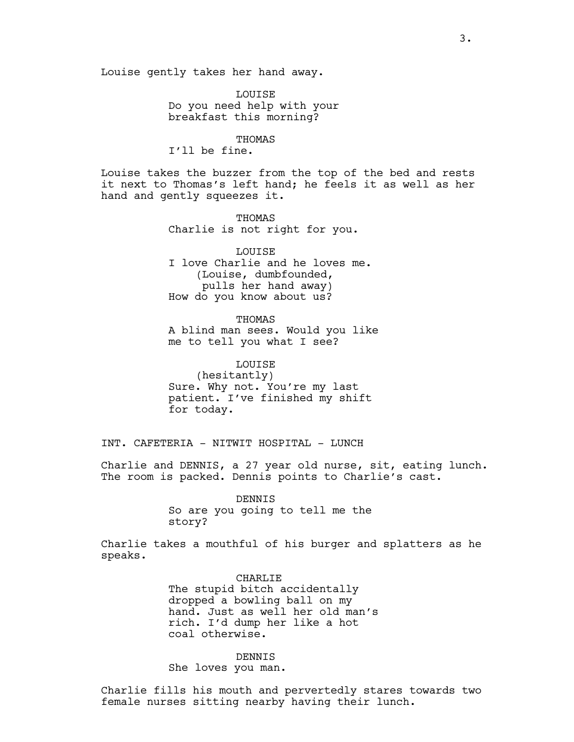LOUISE Do you need help with your breakfast this morning?

**THOMAS** I'll be fine.

Louise takes the buzzer from the top of the bed and rests it next to Thomas's left hand; he feels it as well as her hand and gently squeezes it.

> THOMAS Charlie is not right for you.

LOUISE I love Charlie and he loves me. (Louise, dumbfounded, pulls her hand away) How do you know about us?

THOMAS A blind man sees. Would you like me to tell you what I see?

LOUISE (hesitantly) Sure. Why not. You're my last patient. I've finished my shift for today.

INT. CAFETERIA - NITWIT HOSPITAL - LUNCH

Charlie and DENNIS, a 27 year old nurse, sit, eating lunch. The room is packed. Dennis points to Charlie's cast.

> DENNIS So are you going to tell me the story?

Charlie takes a mouthful of his burger and splatters as he speaks.

> CHARLIE The stupid bitch accidentally dropped a bowling ball on my hand. Just as well her old man's rich. I'd dump her like a hot coal otherwise.

DENNIS She loves you man.

Charlie fills his mouth and pervertedly stares towards two female nurses sitting nearby having their lunch.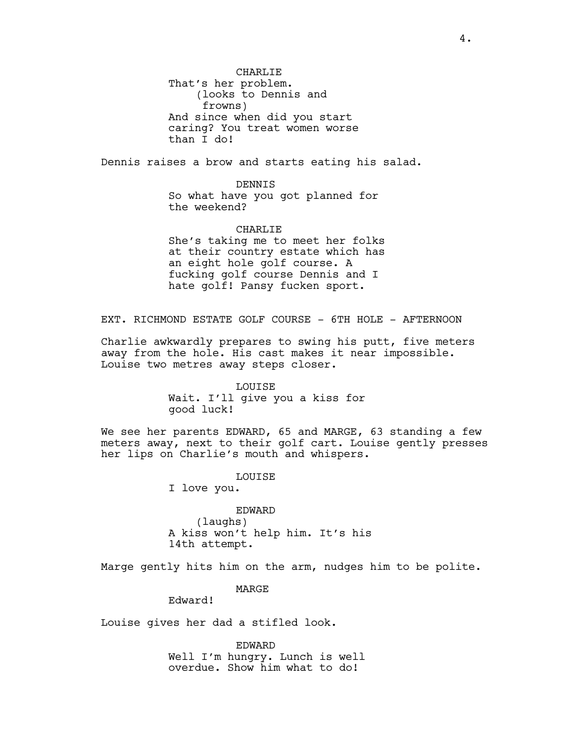CHARLIE That's her problem. (looks to Dennis and frowns) And since when did you start caring? You treat women worse than I do!

Dennis raises a brow and starts eating his salad.

DENNIS

So what have you got planned for the weekend?

CHARLIE

She's taking me to meet her folks at their country estate which has an eight hole golf course. A fucking golf course Dennis and I hate golf! Pansy fucken sport.

EXT. RICHMOND ESTATE GOLF COURSE - 6TH HOLE - AFTERNOON

Charlie awkwardly prepares to swing his putt, five meters away from the hole. His cast makes it near impossible. Louise two metres away steps closer.

> LOUISE Wait. I'll give you a kiss for good luck!

We see her parents EDWARD, 65 and MARGE, 63 standing a few meters away, next to their golf cart. Louise gently presses her lips on Charlie's mouth and whispers.

LOUISE

I love you.

EDWARD (laughs) A kiss won't help him. It's his 14th attempt.

Marge gently hits him on the arm, nudges him to be polite.

MARGE

Edward!

Louise gives her dad a stifled look.

EDWARD Well I'm hungry. Lunch is well overdue. Show him what to do!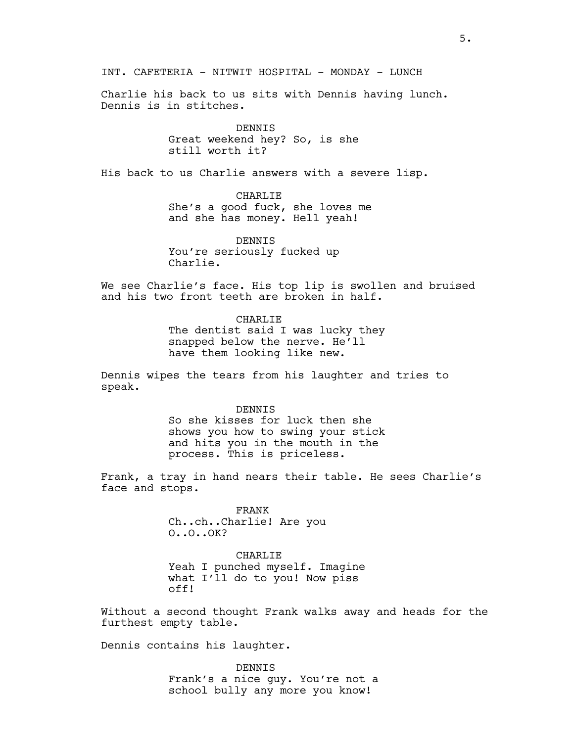INT. CAFETERIA - NITWIT HOSPITAL - MONDAY - LUNCH

Charlie his back to us sits with Dennis having lunch. Dennis is in stitches.

> DENNIS Great weekend hey? So, is she still worth it?

His back to us Charlie answers with a severe lisp.

CHARLIE She's a good fuck, she loves me and she has money. Hell yeah!

DENNIS You're seriously fucked up Charlie.

We see Charlie's face. His top lip is swollen and bruised and his two front teeth are broken in half.

> CHARLIE The dentist said I was lucky they snapped below the nerve. He'll have them looking like new.

Dennis wipes the tears from his laughter and tries to speak.

> DENNIS So she kisses for luck then she shows you how to swing your stick and hits you in the mouth in the process. This is priceless.

Frank, a tray in hand nears their table. He sees Charlie's face and stops.

> FRANK Ch..ch..Charlie! Are you O..O..OK?

CHARLIE Yeah I punched myself. Imagine what I'll do to you! Now piss off!

Without a second thought Frank walks away and heads for the furthest empty table.

Dennis contains his laughter.

DENNIS Frank's a nice guy. You're not a school bully any more you know!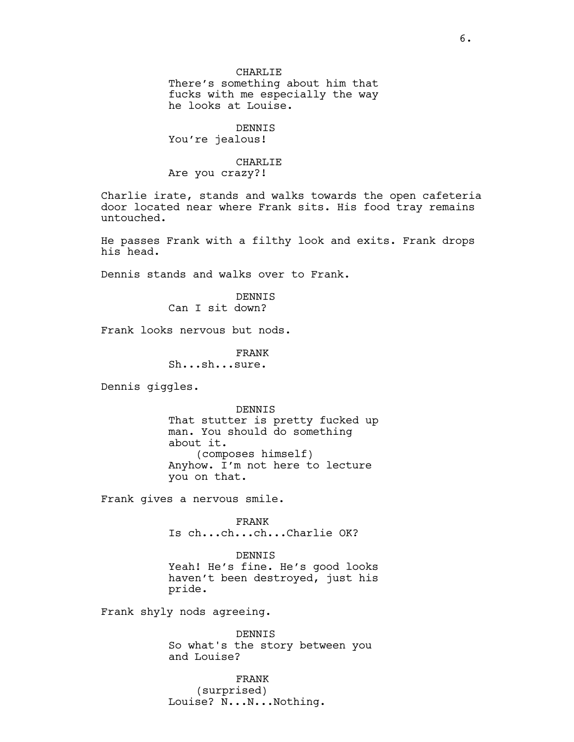There's something about him that fucks with me especially the way he looks at Louise.

DENNIS You're jealous!

### CHARLIE Are you crazy?!

Charlie irate, stands and walks towards the open cafeteria door located near where Frank sits. His food tray remains untouched.

He passes Frank with a filthy look and exits. Frank drops his head.

Dennis stands and walks over to Frank.

DENNIS Can I sit down?

Frank looks nervous but nods.

FRANK Sh...sh...sure.

Dennis giggles.

DENNIS That stutter is pretty fucked up man. You should do something about it. (composes himself) Anyhow. I'm not here to lecture you on that.

Frank gives a nervous smile.

FRANK Is ch...ch...ch...Charlie OK?

DENNIS Yeah! He's fine. He's good looks haven't been destroyed, just his pride.

Frank shyly nods agreeing.

DENNIS So what's the story between you and Louise?

FRANK (surprised) Louise? N...N...Nothing.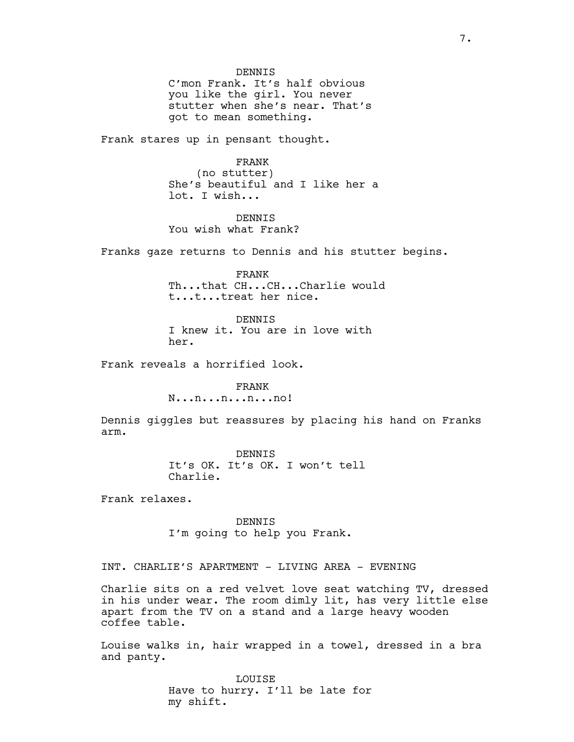DENNIS C'mon Frank. It's half obvious you like the girl. You never stutter when she's near. That's got to mean something.

Frank stares up in pensant thought.

FRANK

(no stutter) She's beautiful and I like her a lot. I wish...

DENNIS You wish what Frank?

Franks gaze returns to Dennis and his stutter begins.

FRANK Th...that CH...CH...Charlie would t...t...treat her nice.

DENNIS I knew it. You are in love with her.

Frank reveals a horrified look.

FRANK N...n...n...n...no!

Dennis giggles but reassures by placing his hand on Franks arm.

> DENNIS It's OK. It's OK. I won't tell Charlie.

Frank relaxes.

DENNIS I'm going to help you Frank.

INT. CHARLIE'S APARTMENT - LIVING AREA - EVENING

Charlie sits on a red velvet love seat watching TV, dressed in his under wear. The room dimly lit, has very little else apart from the TV on a stand and a large heavy wooden coffee table.

Louise walks in, hair wrapped in a towel, dressed in a bra and panty.

> LOUISE Have to hurry. I'll be late for my shift.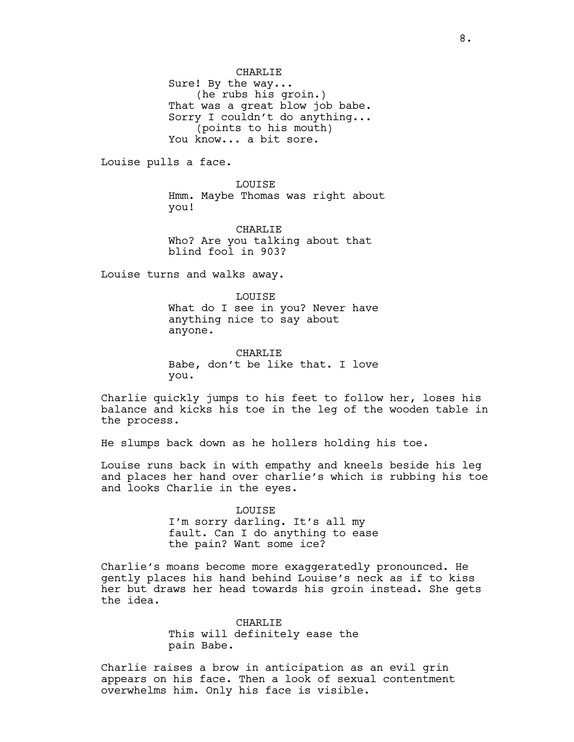CHARLIE Sure! By the way... (he rubs his groin.) That was a great blow job babe. Sorry I couldn't do anything... (points to his mouth) You know... a bit sore.

Louise pulls a face.

LOUISE Hmm. Maybe Thomas was right about you!

CHARLIE Who? Are you talking about that blind fool in 903?

Louise turns and walks away.

LOUISE What do I see in you? Never have anything nice to say about anyone.

CHARLIE Babe, don't be like that. I love you.

Charlie quickly jumps to his feet to follow her, loses his balance and kicks his toe in the leg of the wooden table in the process.

He slumps back down as he hollers holding his toe.

Louise runs back in with empathy and kneels beside his leg and places her hand over charlie's which is rubbing his toe and looks Charlie in the eyes.

> LOUISE I'm sorry darling. It's all my fault. Can I do anything to ease the pain? Want some ice?

Charlie's moans become more exaggeratedly pronounced. He gently places his hand behind Louise's neck as if to kiss her but draws her head towards his groin instead. She gets the idea.

> CHARLIE This will definitely ease the pain Babe.

Charlie raises a brow in anticipation as an evil grin appears on his face. Then a look of sexual contentment overwhelms him. Only his face is visible.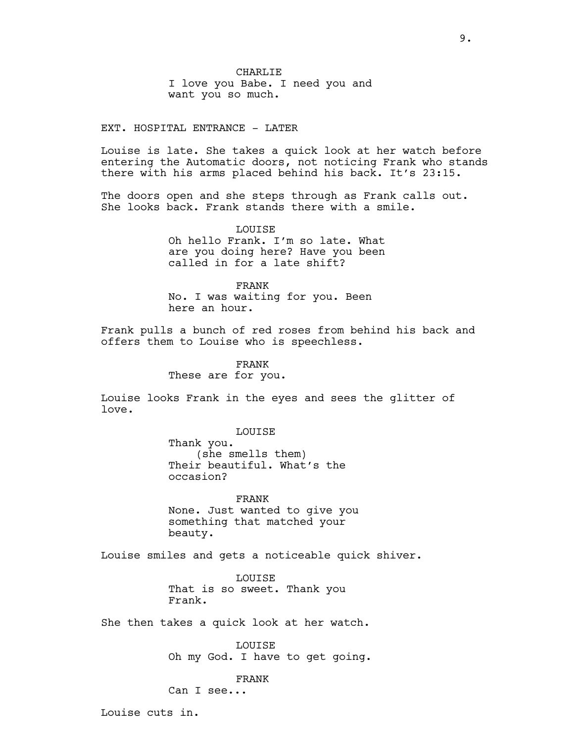CHARLIE I love you Babe. I need you and want you so much.

EXT. HOSPITAL ENTRANCE - LATER

Louise is late. She takes a quick look at her watch before entering the Automatic doors, not noticing Frank who stands there with his arms placed behind his back. It's 23:15.

The doors open and she steps through as Frank calls out. She looks back. Frank stands there with a smile.

> LOUISE Oh hello Frank. I'm so late. What are you doing here? Have you been called in for a late shift?

FRANK No. I was waiting for you. Been here an hour.

Frank pulls a bunch of red roses from behind his back and offers them to Louise who is speechless.

> FRANK These are for you.

Louise looks Frank in the eyes and sees the glitter of love.

LOUISE

Thank you. (she smells them) Their beautiful. What's the occasion?

FRANK None. Just wanted to give you something that matched your beauty.

Louise smiles and gets a noticeable quick shiver.

LOUISE That is so sweet. Thank you Frank.

She then takes a quick look at her watch.

LOUISE Oh my God. I have to get going.

FRANK

Can I see...

Louise cuts in.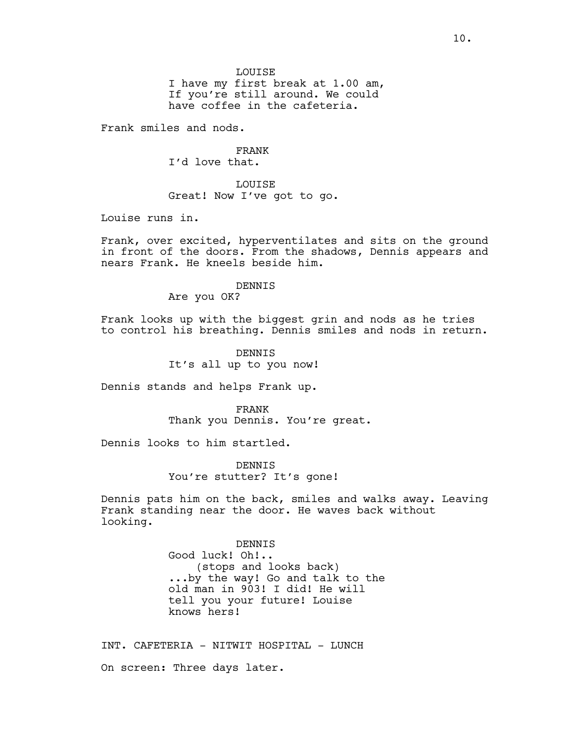LOUISE

I have my first break at 1.00 am, If you're still around. We could have coffee in the cafeteria.

Frank smiles and nods.

FRANK I'd love that.

LOUISE Great! Now I've got to go.

Louise runs in.

Frank, over excited, hyperventilates and sits on the ground in front of the doors. From the shadows, Dennis appears and nears Frank. He kneels beside him.

### DENNIS

Are you OK?

Frank looks up with the biggest grin and nods as he tries to control his breathing. Dennis smiles and nods in return.

> DENNIS It's all up to you now!

Dennis stands and helps Frank up.

FRANK Thank you Dennis. You're great.

Dennis looks to him startled.

DENNIS You're stutter? It's gone!

Dennis pats him on the back, smiles and walks away. Leaving Frank standing near the door. He waves back without looking.

> DENNIS Good luck! Oh!.. (stops and looks back) ...by the way! Go and talk to the old man in 903! I did! He will tell you your future! Louise knows hers!

INT. CAFETERIA - NITWIT HOSPITAL - LUNCH On screen: Three days later.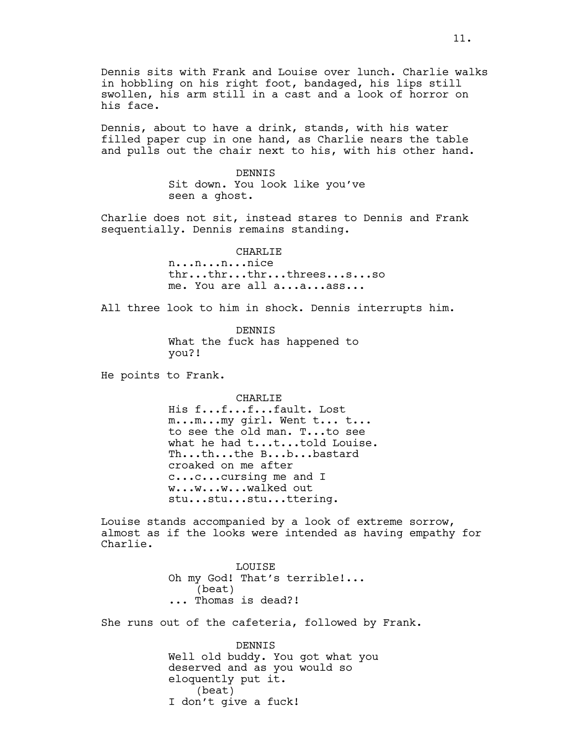Dennis sits with Frank and Louise over lunch. Charlie walks in hobbling on his right foot, bandaged, his lips still swollen, his arm still in a cast and a look of horror on his face.

Dennis, about to have a drink, stands, with his water filled paper cup in one hand, as Charlie nears the table and pulls out the chair next to his, with his other hand.

> DENNIS Sit down. You look like you've seen a ghost.

Charlie does not sit, instead stares to Dennis and Frank sequentially. Dennis remains standing.

> CHARLIE n...n...n...nice thr...thr...thr...threes...s...so me. You are all a...a...ass...

All three look to him in shock. Dennis interrupts him.

DENNIS What the fuck has happened to you?!

He points to Frank.

CHARLIE

His f...f...f...fault. Lost m...m...my girl. Went t... t... to see the old man. T...to see what he had t...t...told Louise. Th...th...the B...b...bastard croaked on me after c...c...cursing me and I w...w...w...walked out stu...stu...stu...ttering.

Louise stands accompanied by a look of extreme sorrow, almost as if the looks were intended as having empathy for Charlie.

> LOUISE Oh my God! That's terrible!... (beat) ... Thomas is dead?!

She runs out of the cafeteria, followed by Frank.

DENNIS Well old buddy. You got what you deserved and as you would so eloquently put it. (beat) I don't give a fuck!